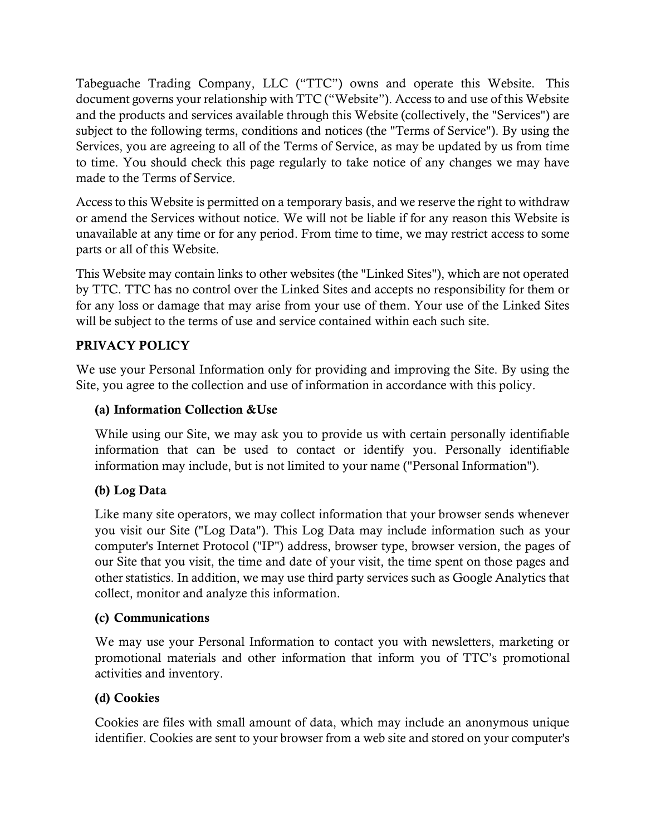Tabeguache Trading Company, LLC ("TTC") owns and operate this Website. This document governs your relationship with TTC ("Website"). Access to and use of this Website and the products and services available through this Website (collectively, the "Services") are subject to the following terms, conditions and notices (the "Terms of Service"). By using the Services, you are agreeing to all of the Terms of Service, as may be updated by us from time to time. You should check this page regularly to take notice of any changes we may have made to the Terms of Service.

Access to this Website is permitted on a temporary basis, and we reserve the right to withdraw or amend the Services without notice. We will not be liable if for any reason this Website is unavailable at any time or for any period. From time to time, we may restrict access to some parts or all of this Website.

This Website may contain links to other websites (the "Linked Sites"), which are not operated by TTC. TTC has no control over the Linked Sites and accepts no responsibility for them or for any loss or damage that may arise from your use of them. Your use of the Linked Sites will be subject to the terms of use and service contained within each such site.

# PRIVACY POLICY

We use your Personal Information only for providing and improving the Site. By using the Site, you agree to the collection and use of information in accordance with this policy.

## (a) Information Collection &Use

While using our Site, we may ask you to provide us with certain personally identifiable information that can be used to contact or identify you. Personally identifiable information may include, but is not limited to your name ("Personal Information").

## (b) Log Data

Like many site operators, we may collect information that your browser sends whenever you visit our Site ("Log Data"). This Log Data may include information such as your computer's Internet Protocol ("IP") address, browser type, browser version, the pages of our Site that you visit, the time and date of your visit, the time spent on those pages and other statistics. In addition, we may use third party services such as Google Analytics that collect, monitor and analyze this information.

## (c) Communications

We may use your Personal Information to contact you with newsletters, marketing or promotional materials and other information that inform you of TTC's promotional activities and inventory.

#### (d) Cookies

Cookies are files with small amount of data, which may include an anonymous unique identifier. Cookies are sent to your browser from a web site and stored on your computer's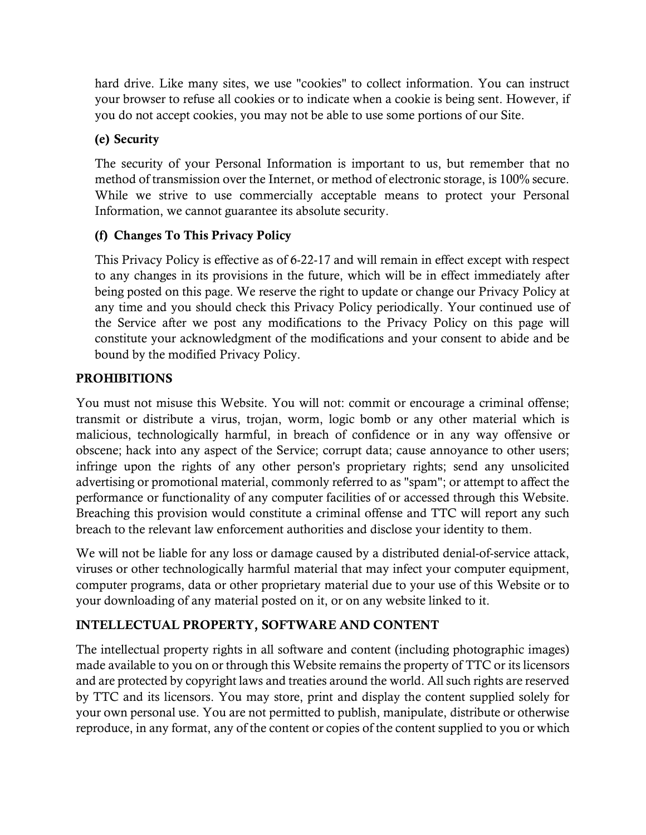hard drive. Like many sites, we use "cookies" to collect information. You can instruct your browser to refuse all cookies or to indicate when a cookie is being sent. However, if you do not accept cookies, you may not be able to use some portions of our Site.

# (e) Security

The security of your Personal Information is important to us, but remember that no method of transmission over the Internet, or method of electronic storage, is 100% secure. While we strive to use commercially acceptable means to protect your Personal Information, we cannot guarantee its absolute security.

# (f) Changes To This Privacy Policy

This Privacy Policy is effective as of 6-22-17 and will remain in effect except with respect to any changes in its provisions in the future, which will be in effect immediately after being posted on this page. We reserve the right to update or change our Privacy Policy at any time and you should check this Privacy Policy periodically. Your continued use of the Service after we post any modifications to the Privacy Policy on this page will constitute your acknowledgment of the modifications and your consent to abide and be bound by the modified Privacy Policy.

## PROHIBITIONS

You must not misuse this Website. You will not: commit or encourage a criminal offense; transmit or distribute a virus, trojan, worm, logic bomb or any other material which is malicious, technologically harmful, in breach of confidence or in any way offensive or obscene; hack into any aspect of the Service; corrupt data; cause annoyance to other users; infringe upon the rights of any other person's proprietary rights; send any unsolicited advertising or promotional material, commonly referred to as "spam"; or attempt to affect the performance or functionality of any computer facilities of or accessed through this Website. Breaching this provision would constitute a criminal offense and TTC will report any such breach to the relevant law enforcement authorities and disclose your identity to them.

We will not be liable for any loss or damage caused by a distributed denial-of-service attack, viruses or other technologically harmful material that may infect your computer equipment, computer programs, data or other proprietary material due to your use of this Website or to your downloading of any material posted on it, or on any website linked to it.

## INTELLECTUAL PROPERTY, SOFTWARE AND CONTENT

The intellectual property rights in all software and content (including photographic images) made available to you on or through this Website remains the property of TTC or its licensors and are protected by copyright laws and treaties around the world. All such rights are reserved by TTC and its licensors. You may store, print and display the content supplied solely for your own personal use. You are not permitted to publish, manipulate, distribute or otherwise reproduce, in any format, any of the content or copies of the content supplied to you or which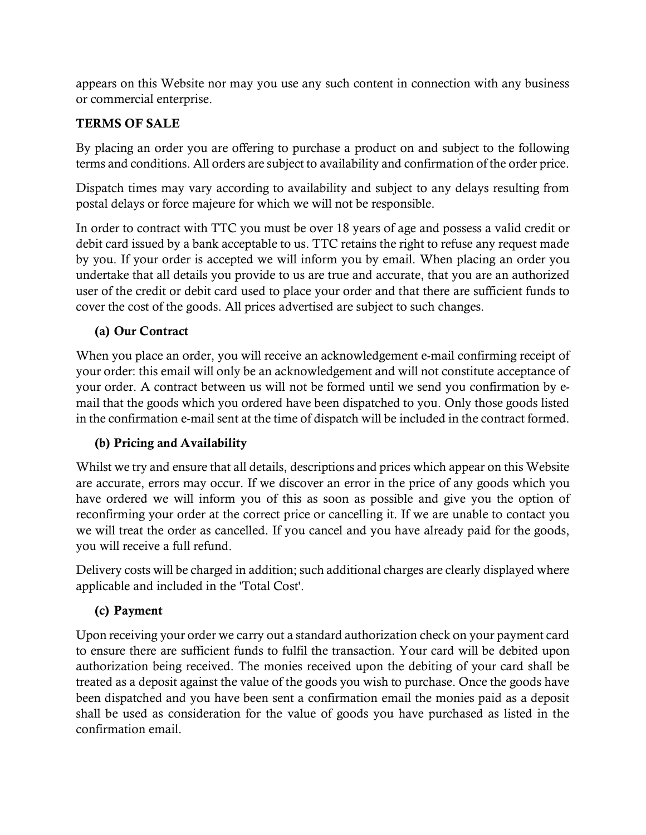appears on this Website nor may you use any such content in connection with any business or commercial enterprise.

# TERMS OF SALE

By placing an order you are offering to purchase a product on and subject to the following terms and conditions. All orders are subject to availability and confirmation of the order price.

Dispatch times may vary according to availability and subject to any delays resulting from postal delays or force majeure for which we will not be responsible.

In order to contract with TTC you must be over 18 years of age and possess a valid credit or debit card issued by a bank acceptable to us. TTC retains the right to refuse any request made by you. If your order is accepted we will inform you by email. When placing an order you undertake that all details you provide to us are true and accurate, that you are an authorized user of the credit or debit card used to place your order and that there are sufficient funds to cover the cost of the goods. All prices advertised are subject to such changes.

# (a) Our Contract

When you place an order, you will receive an acknowledgement e-mail confirming receipt of your order: this email will only be an acknowledgement and will not constitute acceptance of your order. A contract between us will not be formed until we send you confirmation by email that the goods which you ordered have been dispatched to you. Only those goods listed in the confirmation e-mail sent at the time of dispatch will be included in the contract formed.

# (b) Pricing and Availability

Whilst we try and ensure that all details, descriptions and prices which appear on this Website are accurate, errors may occur. If we discover an error in the price of any goods which you have ordered we will inform you of this as soon as possible and give you the option of reconfirming your order at the correct price or cancelling it. If we are unable to contact you we will treat the order as cancelled. If you cancel and you have already paid for the goods, you will receive a full refund.

Delivery costs will be charged in addition; such additional charges are clearly displayed where applicable and included in the 'Total Cost'.

# (c) Payment

Upon receiving your order we carry out a standard authorization check on your payment card to ensure there are sufficient funds to fulfil the transaction. Your card will be debited upon authorization being received. The monies received upon the debiting of your card shall be treated as a deposit against the value of the goods you wish to purchase. Once the goods have been dispatched and you have been sent a confirmation email the monies paid as a deposit shall be used as consideration for the value of goods you have purchased as listed in the confirmation email.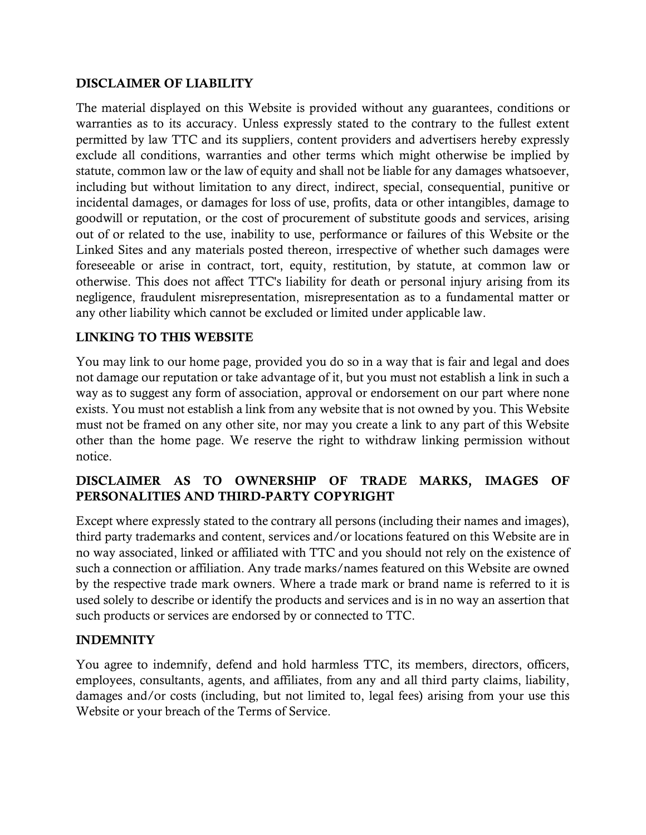### DISCLAIMER OF LIABILITY

The material displayed on this Website is provided without any guarantees, conditions or warranties as to its accuracy. Unless expressly stated to the contrary to the fullest extent permitted by law TTC and its suppliers, content providers and advertisers hereby expressly exclude all conditions, warranties and other terms which might otherwise be implied by statute, common law or the law of equity and shall not be liable for any damages whatsoever, including but without limitation to any direct, indirect, special, consequential, punitive or incidental damages, or damages for loss of use, profits, data or other intangibles, damage to goodwill or reputation, or the cost of procurement of substitute goods and services, arising out of or related to the use, inability to use, performance or failures of this Website or the Linked Sites and any materials posted thereon, irrespective of whether such damages were foreseeable or arise in contract, tort, equity, restitution, by statute, at common law or otherwise. This does not affect TTC's liability for death or personal injury arising from its negligence, fraudulent misrepresentation, misrepresentation as to a fundamental matter or any other liability which cannot be excluded or limited under applicable law.

#### LINKING TO THIS WEBSITE

You may link to our home page, provided you do so in a way that is fair and legal and does not damage our reputation or take advantage of it, but you must not establish a link in such a way as to suggest any form of association, approval or endorsement on our part where none exists. You must not establish a link from any website that is not owned by you. This Website must not be framed on any other site, nor may you create a link to any part of this Website other than the home page. We reserve the right to withdraw linking permission without notice.

# DISCLAIMER AS TO OWNERSHIP OF TRADE MARKS, IMAGES OF PERSONALITIES AND THIRD-PARTY COPYRIGHT

Except where expressly stated to the contrary all persons (including their names and images), third party trademarks and content, services and/or locations featured on this Website are in no way associated, linked or affiliated with TTC and you should not rely on the existence of such a connection or affiliation. Any trade marks/names featured on this Website are owned by the respective trade mark owners. Where a trade mark or brand name is referred to it is used solely to describe or identify the products and services and is in no way an assertion that such products or services are endorsed by or connected to TTC.

#### INDEMNITY

You agree to indemnify, defend and hold harmless TTC, its members, directors, officers, employees, consultants, agents, and affiliates, from any and all third party claims, liability, damages and/or costs (including, but not limited to, legal fees) arising from your use this Website or your breach of the Terms of Service.